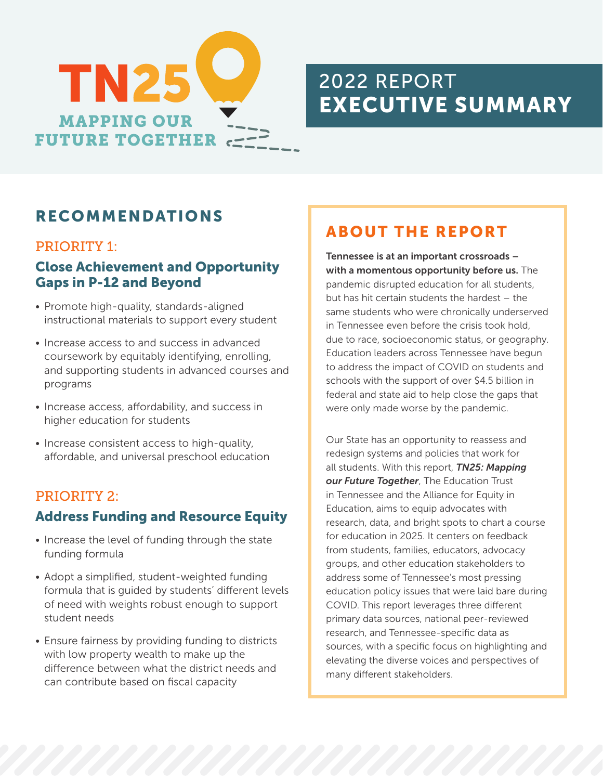

# 2022 REPORT EXECUTIVE SUMMARY

### RECOMMENDATIONS

#### PRIORITY 1:

#### Close Achievement and Opportunity Gaps in P-12 and Beyond

- Promote high-quality, standards-aligned instructional materials to support every student
- Increase access to and success in advanced coursework by equitably identifying, enrolling, and supporting students in advanced courses and programs
- Increase access, affordability, and success in higher education for students
- Increase consistent access to high-quality, affordable, and universal preschool education

#### PRIORITY 2:

#### Address Funding and Resource Equity

- Increase the level of funding through the state funding formula
- Adopt a simplified, student-weighted funding formula that is guided by students' different levels of need with weights robust enough to support student needs
- Ensure fairness by providing funding to districts with low property wealth to make up the difference between what the district needs and can contribute based on fiscal capacity

### ABOUT THE REPORT

Tennessee is at an important crossroads – with a momentous opportunity before us. The pandemic disrupted education for all students, but has hit certain students the hardest – the same students who were chronically underserved in Tennessee even before the crisis took hold, due to race, socioeconomic status, or geography. Education leaders across Tennessee have begun to address the impact of COVID on students and schools with the support of over \$4.5 billion in federal and state aid to help close the gaps that were only made worse by the pandemic.

Our State has an opportunity to reassess and redesign systems and policies that work for all students. With this report, *TN25: Mapping our Future Together*, The Education Trust in Tennessee and the Alliance for Equity in Education, aims to equip advocates with research, data, and bright spots to chart a course for education in 2025. It centers on feedback from students, families, educators, advocacy groups, and other education stakeholders to address some of Tennessee's most pressing education policy issues that were laid bare during COVID. This report leverages three different primary data sources, national peer-reviewed research, and Tennessee-specific data as sources, with a specific focus on highlighting and elevating the diverse voices and perspectives of many different stakeholders.